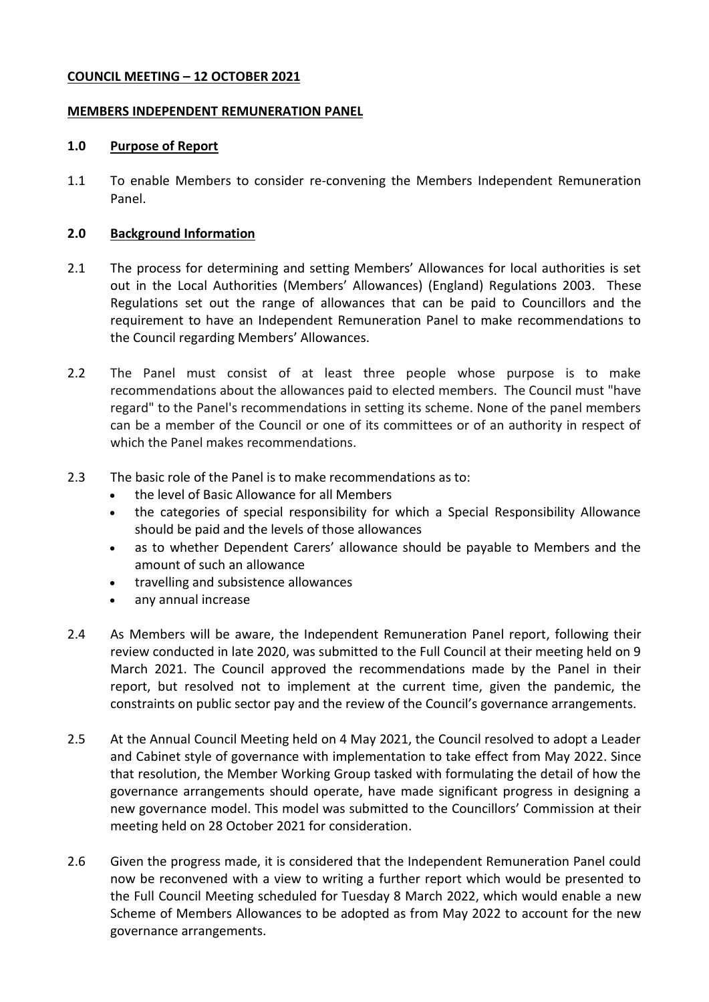### **COUNCIL MEETING – 12 OCTOBER 2021**

#### **MEMBERS INDEPENDENT REMUNERATION PANEL**

#### **1.0 Purpose of Report**

1.1 To enable Members to consider re-convening the Members Independent Remuneration Panel.

#### **2.0 Background Information**

- 2.1 The process for determining and setting Members' Allowances for local authorities is set out in the Local Authorities (Members' Allowances) (England) Regulations 2003. These Regulations set out the range of allowances that can be paid to Councillors and the requirement to have an Independent Remuneration Panel to make recommendations to the Council regarding Members' Allowances.
- 2.2 The Panel must consist of at least three people whose purpose is to make recommendations about the allowances paid to elected members. The Council must "have regard" to the Panel's recommendations in setting its scheme. None of the panel members can be a member of the Council or one of its committees or of an authority in respect of which the Panel makes recommendations.
- 2.3 The basic role of the Panel is to make recommendations as to:
	- the level of Basic Allowance for all Members
	- the categories of special responsibility for which a Special Responsibility Allowance should be paid and the levels of those allowances
	- as to whether Dependent Carers' allowance should be payable to Members and the amount of such an allowance
	- travelling and subsistence allowances
	- any annual increase
- 2.4 As Members will be aware, the Independent Remuneration Panel report, following their review conducted in late 2020, was submitted to the Full Council at their meeting held on 9 March 2021. The Council approved the recommendations made by the Panel in their report, but resolved not to implement at the current time, given the pandemic, the constraints on public sector pay and the review of the Council's governance arrangements.
- 2.5 At the Annual Council Meeting held on 4 May 2021, the Council resolved to adopt a Leader and Cabinet style of governance with implementation to take effect from May 2022. Since that resolution, the Member Working Group tasked with formulating the detail of how the governance arrangements should operate, have made significant progress in designing a new governance model. This model was submitted to the Councillors' Commission at their meeting held on 28 October 2021 for consideration.
- 2.6 Given the progress made, it is considered that the Independent Remuneration Panel could now be reconvened with a view to writing a further report which would be presented to the Full Council Meeting scheduled for Tuesday 8 March 2022, which would enable a new Scheme of Members Allowances to be adopted as from May 2022 to account for the new governance arrangements.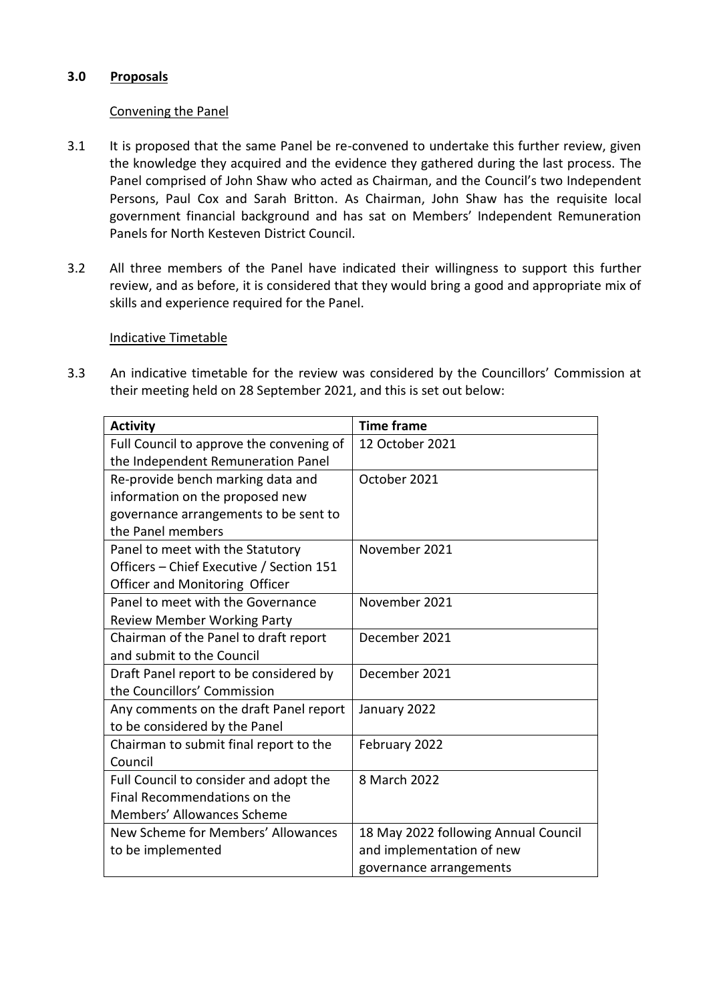## **3.0 Proposals**

## Convening the Panel

- 3.1 It is proposed that the same Panel be re-convened to undertake this further review, given the knowledge they acquired and the evidence they gathered during the last process. The Panel comprised of John Shaw who acted as Chairman, and the Council's two Independent Persons, Paul Cox and Sarah Britton. As Chairman, John Shaw has the requisite local government financial background and has sat on Members' Independent Remuneration Panels for North Kesteven District Council.
- 3.2 All three members of the Panel have indicated their willingness to support this further review, and as before, it is considered that they would bring a good and appropriate mix of skills and experience required for the Panel.

### Indicative Timetable

3.3 An indicative timetable for the review was considered by the Councillors' Commission at their meeting held on 28 September 2021, and this is set out below:

| <b>Activity</b>                          | <b>Time frame</b>                    |
|------------------------------------------|--------------------------------------|
| Full Council to approve the convening of | 12 October 2021                      |
| the Independent Remuneration Panel       |                                      |
| Re-provide bench marking data and        | October 2021                         |
| information on the proposed new          |                                      |
| governance arrangements to be sent to    |                                      |
| the Panel members                        |                                      |
| Panel to meet with the Statutory         | November 2021                        |
| Officers - Chief Executive / Section 151 |                                      |
| Officer and Monitoring Officer           |                                      |
| Panel to meet with the Governance        | November 2021                        |
| <b>Review Member Working Party</b>       |                                      |
| Chairman of the Panel to draft report    | December 2021                        |
| and submit to the Council                |                                      |
| Draft Panel report to be considered by   | December 2021                        |
| the Councillors' Commission              |                                      |
| Any comments on the draft Panel report   | January 2022                         |
| to be considered by the Panel            |                                      |
| Chairman to submit final report to the   | February 2022                        |
| Council                                  |                                      |
| Full Council to consider and adopt the   | 8 March 2022                         |
| Final Recommendations on the             |                                      |
| Members' Allowances Scheme               |                                      |
| New Scheme for Members' Allowances       | 18 May 2022 following Annual Council |
| to be implemented                        | and implementation of new            |
|                                          | governance arrangements              |